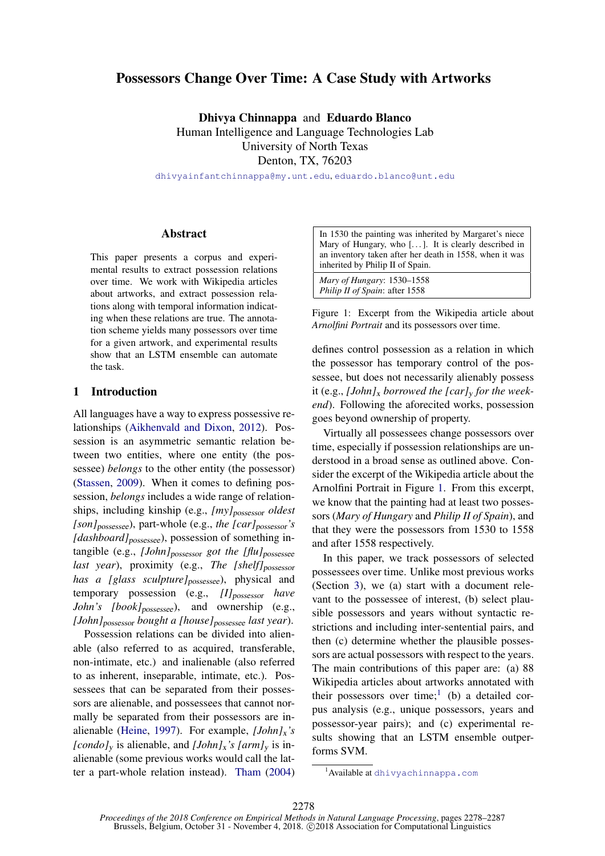# Possessors Change Over Time: A Case Study with Artworks

Dhivya Chinnappa and Eduardo Blanco Human Intelligence and Language Technologies Lab University of North Texas Denton, TX, 76203

<dhivyainfantchinnappa@my.unt.edu>, <eduardo.blanco@unt.edu>

### Abstract

This paper presents a corpus and experimental results to extract possession relations over time. We work with Wikipedia articles about artworks, and extract possession relations along with temporal information indicating when these relations are true. The annotation scheme yields many possessors over time for a given artwork, and experimental results show that an LSTM ensemble can automate the task.

### 1 Introduction

All languages have a way to express possessive relationships [\(Aikhenvald and Dixon,](#page-8-0) [2012\)](#page-8-0). Possession is an asymmetric semantic relation between two entities, where one entity (the possessee) *belongs* to the other entity (the possessor) [\(Stassen,](#page-9-0) [2009\)](#page-9-0). When it comes to defining possession, *belongs* includes a wide range of relationships, including kinship (e.g., *[my]*possessor *oldest [son]*possessee), part-whole (e.g., *the [car]*possessor*'s [dashboard]*<sub>possessee</sub>), possession of something intangible (e.g., *[John]*<sub>possessor</sub> *got the [flu]*<sub>possessee</sub> last year), proximity (e.g., The [shelf]<sub>possessor</sub> has a [glass sculpture]<sub>possessee</sub>), physical and temporary possession (e.g., *[I]*possessor *have John's [book]*possessee), and ownership (e.g., *[John]*possessor *bought a [house]*possessee *last year*).

Possession relations can be divided into alienable (also referred to as acquired, transferable, non-intimate, etc.) and inalienable (also referred to as inherent, inseparable, intimate, etc.). Possessees that can be separated from their possessors are alienable, and possessees that cannot normally be separated from their possessors are inalienable [\(Heine,](#page-8-1) [1997\)](#page-8-1). For example, *[John]*x*'s [condo]*<sub>y</sub> is alienable, and *[John]*<sub>x</sub><sup>*'s [arm]*<sub>y</sub> is in-</sup> alienable (some previous works would call the latter a part-whole relation instead). [Tham](#page-9-1) [\(2004\)](#page-9-1)

| In 1530 the painting was inherited by Margaret's niece       |
|--------------------------------------------------------------|
| Mary of Hungary, who [ $\dots$ ]. It is clearly described in |
| an inventory taken after her death in 1558, when it was      |
| inherited by Philip II of Spain.                             |
|                                                              |

*Mary of Hungary*: 1530–1558 *Philip II of Spain*: after 1558

<span id="page-0-0"></span>Figure 1: Excerpt from the Wikipedia article about *Arnolfini Portrait* and its possessors over time.

defines control possession as a relation in which the possessor has temporary control of the possessee, but does not necessarily alienably possess it (e.g., *[John]*<sup>x</sup> *borrowed the [car]*<sup>y</sup> *for the weekend*). Following the aforecited works, possession goes beyond ownership of property.

Virtually all possessees change possessors over time, especially if possession relationships are understood in a broad sense as outlined above. Consider the excerpt of the Wikipedia article about the Arnolfini Portrait in Figure [1.](#page-0-0) From this excerpt, we know that the painting had at least two possessors (*Mary of Hungary* and *Philip II of Spain*), and that they were the possessors from 1530 to 1558 and after 1558 respectively.

In this paper, we track possessors of selected possessees over time. Unlike most previous works (Section [3\)](#page-1-0), we (a) start with a document relevant to the possessee of interest, (b) select plausible possessors and years without syntactic restrictions and including inter-sentential pairs, and then (c) determine whether the plausible possessors are actual possessors with respect to the years. The main contributions of this paper are: (a) 88 Wikipedia articles about artworks annotated with their possessors over time;<sup>[1](#page-0-1)</sup> (b) a detailed corpus analysis (e.g., unique possessors, years and possessor-year pairs); and (c) experimental results showing that an LSTM ensemble outperforms SVM.

<span id="page-0-1"></span><sup>&</sup>lt;sup>1</sup> Available at <dhivyachinnappa.com>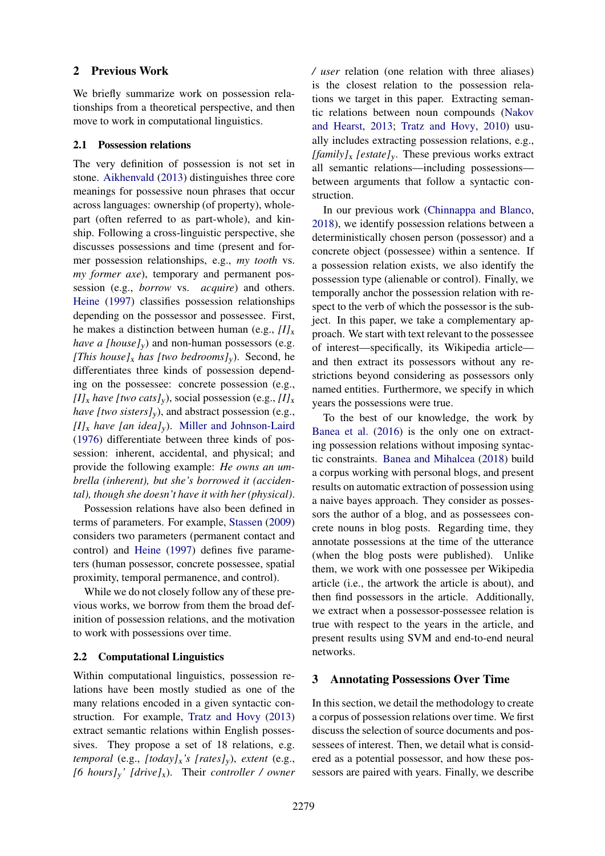## 2 Previous Work

We briefly summarize work on possession relationships from a theoretical perspective, and then move to work in computational linguistics.

### <span id="page-1-1"></span>2.1 Possession relations

The very definition of possession is not set in stone. [Aikhenvald](#page-8-2) [\(2013\)](#page-8-2) distinguishes three core meanings for possessive noun phrases that occur across languages: ownership (of property), wholepart (often referred to as part-whole), and kinship. Following a cross-linguistic perspective, she discusses possessions and time (present and former possession relationships, e.g., *my tooth* vs. *my former axe*), temporary and permanent possession (e.g., *borrow* vs. *acquire*) and others. [Heine](#page-8-1) [\(1997\)](#page-8-1) classifies possession relationships depending on the possessor and possessee. First, he makes a distinction between human (e.g.,  $II_x$ ) *have a [house]<sub>v</sub>*) and non-human possessors (e.g. *[This house]<sub>x</sub> has [two bedrooms]<sub>y</sub>).* Second, he differentiates three kinds of possession depending on the possessee: concrete possession (e.g.,  $[I]_x$  *have [two cats]<sub>y</sub>*), social possession (e.g.,  $[I]_x$ ) *have [two sisters]<sub>y</sub>*), and abstract possession (e.g.,  $[I]_x$  *have [an idea]<sub>y</sub>*). [Miller and Johnson-Laird](#page-8-3) [\(1976\)](#page-8-3) differentiate between three kinds of possession: inherent, accidental, and physical; and provide the following example: *He owns an umbrella (inherent), but she's borrowed it (accidental), though she doesn't have it with her (physical)*.

Possession relations have also been defined in terms of parameters. For example, [Stassen](#page-9-0) [\(2009\)](#page-9-0) considers two parameters (permanent contact and control) and [Heine](#page-8-1) [\(1997\)](#page-8-1) defines five parameters (human possessor, concrete possessee, spatial proximity, temporal permanence, and control).

While we do not closely follow any of these previous works, we borrow from them the broad definition of possession relations, and the motivation to work with possessions over time.

## 2.2 Computational Linguistics

Within computational linguistics, possession relations have been mostly studied as one of the many relations encoded in a given syntactic construction. For example, [Tratz and Hovy](#page-9-2) [\(2013\)](#page-9-2) extract semantic relations within English possessives. They propose a set of 18 relations, e.g. *temporal* (e.g., *[today]*x*'s [rates]*y), *extent* (e.g., *[6 hours]*y*' [drive]*x). Their *controller / owner* */ user* relation (one relation with three aliases) is the closest relation to the possession relations we target in this paper. Extracting semantic relations between noun compounds [\(Nakov](#page-8-4) [and Hearst,](#page-8-4) [2013;](#page-8-4) [Tratz and Hovy,](#page-9-3) [2010\)](#page-9-3) usually includes extracting possession relations, e.g., *[family]*<sup>x</sup> *[estate]*y. These previous works extract all semantic relations—including possessions between arguments that follow a syntactic construction.

In our previous work [\(Chinnappa and Blanco,](#page-8-5) [2018\)](#page-8-5), we identify possession relations between a deterministically chosen person (possessor) and a concrete object (possessee) within a sentence. If a possession relation exists, we also identify the possession type (alienable or control). Finally, we temporally anchor the possession relation with respect to the verb of which the possessor is the subject. In this paper, we take a complementary approach. We start with text relevant to the possessee of interest—specifically, its Wikipedia article and then extract its possessors without any restrictions beyond considering as possessors only named entities. Furthermore, we specify in which years the possessions were true.

To the best of our knowledge, the work by [Banea et al.](#page-8-6) [\(2016\)](#page-8-6) is the only one on extracting possession relations without imposing syntactic constraints. [Banea and Mihalcea](#page-8-7) [\(2018\)](#page-8-7) build a corpus working with personal blogs, and present results on automatic extraction of possession using a naive bayes approach. They consider as possessors the author of a blog, and as possessees concrete nouns in blog posts. Regarding time, they annotate possessions at the time of the utterance (when the blog posts were published). Unlike them, we work with one possessee per Wikipedia article (i.e., the artwork the article is about), and then find possessors in the article. Additionally, we extract when a possessor-possessee relation is true with respect to the years in the article, and present results using SVM and end-to-end neural networks.

# <span id="page-1-0"></span>3 Annotating Possessions Over Time

In this section, we detail the methodology to create a corpus of possession relations over time. We first discuss the selection of source documents and possessees of interest. Then, we detail what is considered as a potential possessor, and how these possessors are paired with years. Finally, we describe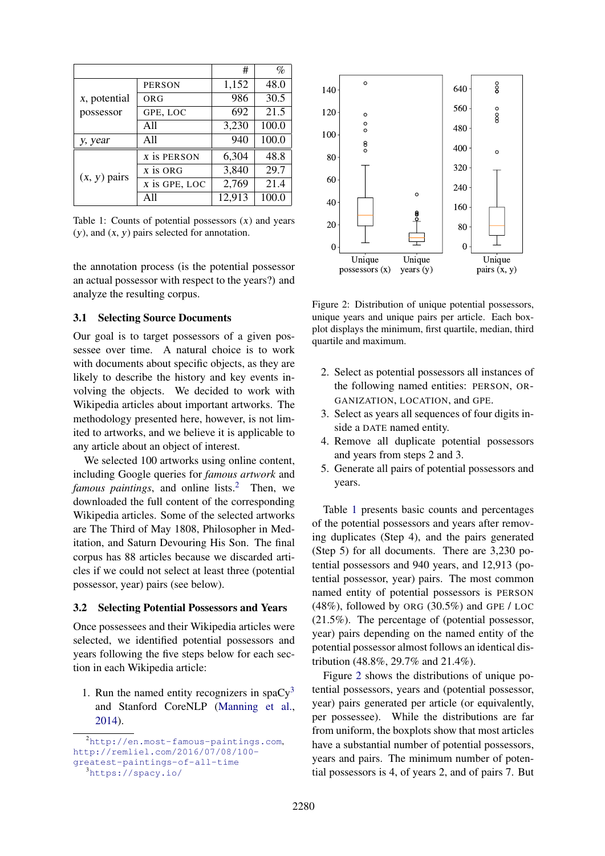|                      |                       | #      | $\%$  |
|----------------------|-----------------------|--------|-------|
|                      | <b>PERSON</b>         | 1,152  | 48.0  |
| <i>x</i> , potential | ORG                   | 986    | 30.5  |
| possessor            | GPE, LOC              | 692    | 21.5  |
|                      | A11                   | 3,230  | 100.0 |
| y, year              | All                   | 940    | 100.0 |
|                      | x is PERSON           | 6,304  | 48.8  |
| $(x, y)$ pairs       | $\overline{x}$ is ORG | 3,840  | 29.7  |
|                      | x is GPE, LOC         | 2,769  | 21.4  |
|                      | All                   | 12,913 | 100.0 |

<span id="page-2-2"></span>Table 1: Counts of potential possessors  $(x)$  and years  $(y)$ , and  $(x, y)$  pairs selected for annotation.

the annotation process (is the potential possessor an actual possessor with respect to the years?) and analyze the resulting corpus.

### 3.1 Selecting Source Documents

Our goal is to target possessors of a given possessee over time. A natural choice is to work with documents about specific objects, as they are likely to describe the history and key events involving the objects. We decided to work with Wikipedia articles about important artworks. The methodology presented here, however, is not limited to artworks, and we believe it is applicable to any article about an object of interest.

We selected 100 artworks using online content, including Google queries for *famous artwork* and *famous paintings*, and online lists.<sup>[2](#page-2-0)</sup> Then, we downloaded the full content of the corresponding Wikipedia articles. Some of the selected artworks are The Third of May 1808, Philosopher in Meditation, and Saturn Devouring His Son. The final corpus has 88 articles because we discarded articles if we could not select at least three (potential possessor, year) pairs (see below).

### 3.2 Selecting Potential Possessors and Years

Once possessees and their Wikipedia articles were selected, we identified potential possessors and years following the five steps below for each section in each Wikipedia article:

1. Run the named entity recognizers in spa $Cy^3$  $Cy^3$ and Stanford CoreNLP [\(Manning et al.,](#page-8-8) [2014\)](#page-8-8).



<span id="page-2-3"></span>Figure 2: Distribution of unique potential possessors, unique years and unique pairs per article. Each boxplot displays the minimum, first quartile, median, third quartile and maximum.

- 2. Select as potential possessors all instances of the following named entities: PERSON, OR-GANIZATION, LOCATION, and GPE.
- 3. Select as years all sequences of four digits inside a DATE named entity.
- 4. Remove all duplicate potential possessors and years from steps 2 and 3.
- 5. Generate all pairs of potential possessors and years.

Table [1](#page-2-2) presents basic counts and percentages of the potential possessors and years after removing duplicates (Step 4), and the pairs generated (Step 5) for all documents. There are 3,230 potential possessors and 940 years, and 12,913 (potential possessor, year) pairs. The most common named entity of potential possessors is PERSON  $(48\%)$ , followed by ORG  $(30.5\%)$  and GPE / LOC (21.5%). The percentage of (potential possessor, year) pairs depending on the named entity of the potential possessor almost follows an identical distribution (48.8%, 29.7% and 21.4%).

Figure [2](#page-2-3) shows the distributions of unique potential possessors, years and (potential possessor, year) pairs generated per article (or equivalently, per possessee). While the distributions are far from uniform, the boxplots show that most articles have a substantial number of potential possessors, years and pairs. The minimum number of potential possessors is 4, of years 2, and of pairs 7. But

<span id="page-2-0"></span><sup>2</sup><http://en.most-famous-paintings.com>, [http://remliel.com/2016/07/08/100](http://remliel.com/2016/07/08/100-) <greatest-paintings-of-all-time>

<span id="page-2-1"></span><sup>3</sup><https://spacy.io/>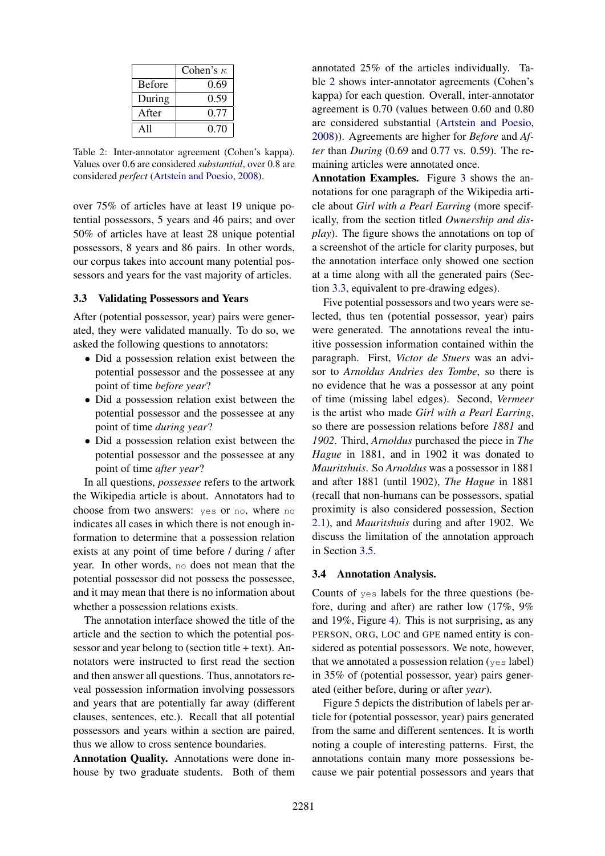|               | Cohen's $\kappa$ |
|---------------|------------------|
| <b>Before</b> | 0.69             |
| During        | 0.59             |
| After         | 0.77             |
| A11           | 0.70             |

<span id="page-3-0"></span>Table 2: Inter-annotator agreement (Cohen's kappa). Values over 0.6 are considered *substantial*, over 0.8 are considered *perfect* [\(Artstein and Poesio,](#page-8-9) [2008\)](#page-8-9).

over 75% of articles have at least 19 unique potential possessors, 5 years and 46 pairs; and over 50% of articles have at least 28 unique potential possessors, 8 years and 86 pairs. In other words, our corpus takes into account many potential possessors and years for the vast majority of articles.

## <span id="page-3-1"></span>3.3 Validating Possessors and Years

After (potential possessor, year) pairs were generated, they were validated manually. To do so, we asked the following questions to annotators:

- Did a possession relation exist between the potential possessor and the possessee at any point of time *before year*?
- Did a possession relation exist between the potential possessor and the possessee at any point of time *during year*?
- Did a possession relation exist between the potential possessor and the possessee at any point of time *after year*?

In all questions, *possessee* refers to the artwork the Wikipedia article is about. Annotators had to choose from two answers: yes or no, where no indicates all cases in which there is not enough information to determine that a possession relation exists at any point of time before / during / after year. In other words, no does not mean that the potential possessor did not possess the possessee, and it may mean that there is no information about whether a possession relations exists.

The annotation interface showed the title of the article and the section to which the potential possessor and year belong to (section title + text). Annotators were instructed to first read the section and then answer all questions. Thus, annotators reveal possession information involving possessors and years that are potentially far away (different clauses, sentences, etc.). Recall that all potential possessors and years within a section are paired, thus we allow to cross sentence boundaries.

Annotation Quality. Annotations were done inhouse by two graduate students. Both of them annotated 25% of the articles individually. Table [2](#page-3-0) shows inter-annotator agreements (Cohen's kappa) for each question. Overall, inter-annotator agreement is 0.70 (values between 0.60 and 0.80 are considered substantial [\(Artstein and Poesio,](#page-8-9) [2008\)](#page-8-9)). Agreements are higher for *Before* and *After* than *During* (0.69 and 0.77 vs. 0.59). The remaining articles were annotated once.

Annotation Examples. Figure [3](#page-4-0) shows the annotations for one paragraph of the Wikipedia article about *Girl with a Pearl Earring* (more specifically, from the section titled *Ownership and display*). The figure shows the annotations on top of a screenshot of the article for clarity purposes, but the annotation interface only showed one section at a time along with all the generated pairs (Section [3.3,](#page-3-1) equivalent to pre-drawing edges).

Five potential possessors and two years were selected, thus ten (potential possessor, year) pairs were generated. The annotations reveal the intuitive possession information contained within the paragraph. First, *Victor de Stuers* was an advisor to *Arnoldus Andries des Tombe*, so there is no evidence that he was a possessor at any point of time (missing label edges). Second, *Vermeer* is the artist who made *Girl with a Pearl Earring*, so there are possession relations before *1881* and *1902*. Third, *Arnoldus* purchased the piece in *The Hague* in 1881, and in 1902 it was donated to *Mauritshuis*. So *Arnoldus* was a possessor in 1881 and after 1881 (until 1902), *The Hague* in 1881 (recall that non-humans can be possessors, spatial proximity is also considered possession, Section [2.1\)](#page-1-1), and *Mauritshuis* during and after 1902. We discuss the limitation of the annotation approach in Section [3.5.](#page-5-0)

#### 3.4 Annotation Analysis.

Counts of yes labels for the three questions (before, during and after) are rather low (17%, 9% and 19%, Figure [4\)](#page-4-1). This is not surprising, as any PERSON, ORG, LOC and GPE named entity is considered as potential possessors. We note, however, that we annotated a possession relation (yes label) in 35% of (potential possessor, year) pairs generated (either before, during or after *year*).

Figure 5 depicts the distribution of labels per article for (potential possessor, year) pairs generated from the same and different sentences. It is worth noting a couple of interesting patterns. First, the annotations contain many more possessions because we pair potential possessors and years that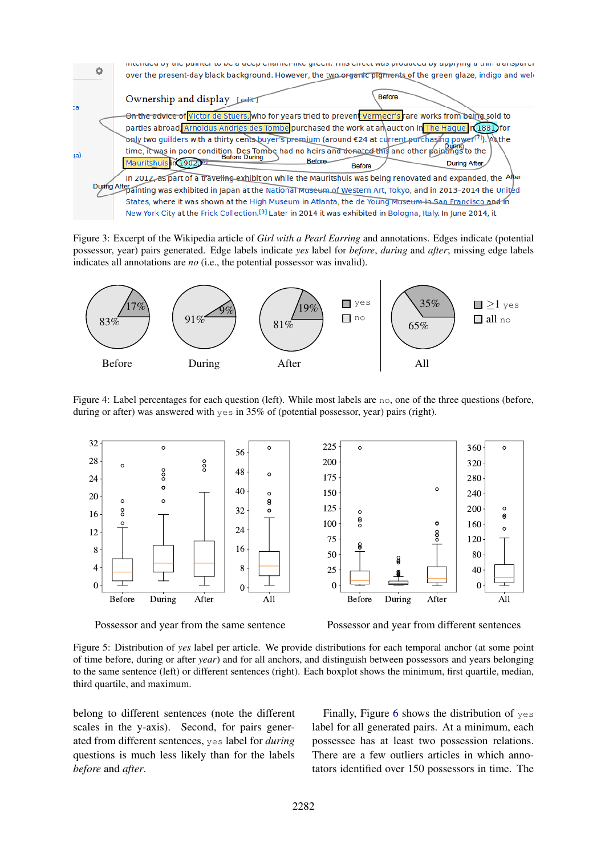

<span id="page-4-0"></span>Figure 3: Excerpt of the Wikipedia article of *Girl with a Pearl Earring* and annotations. Edges indicate (potential possessor, year) pairs generated. Edge labels indicate *yes* label for *before*, *during* and *after*; missing edge labels indicates all annotations are *no* (i.e., the potential possessor was invalid).



<span id="page-4-1"></span>Figure 4: Label percentages for each question (left). While most labels are no, one of the three questions (before, during or after) was answered with yes in 35% of (potential possessor, year) pairs (right).



Possessor and year from the same sentence Possessor and year from different sentences

Figure 5: Distribution of *yes* label per article. We provide distributions for each temporal anchor (at some point of time before, during or after *year*) and for all anchors, and distinguish between possessors and years belonging to the same sentence (left) or different sentences (right). Each boxplot shows the minimum, first quartile, median, third quartile, and maximum.

belong to different sentences (note the different scales in the y-axis). Second, for pairs generated from different sentences, yes label for *during* questions is much less likely than for the labels *before* and *after*.

Finally, Figure [6](#page-5-1) shows the distribution of yes label for all generated pairs. At a minimum, each possessee has at least two possession relations. There are a few outliers articles in which annotators identified over 150 possessors in time. The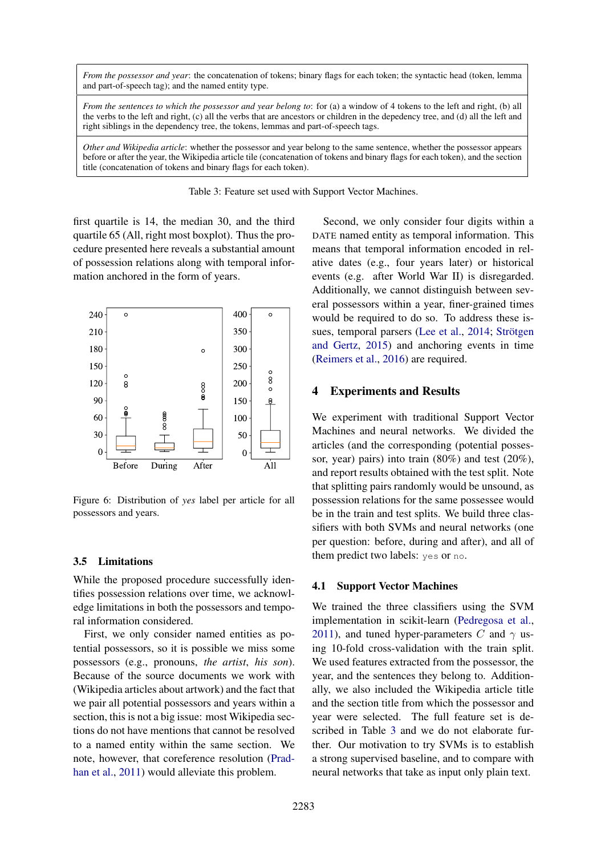*From the possessor and year*: the concatenation of tokens; binary flags for each token; the syntactic head (token, lemma and part-of-speech tag); and the named entity type.

*From the sentences to which the possessor and year belong to*: for (a) a window of 4 tokens to the left and right, (b) all the verbs to the left and right, (c) all the verbs that are ancestors or children in the depedency tree, and (d) all the left and right siblings in the dependency tree, the tokens, lemmas and part-of-speech tags.

*Other and Wikipedia article*: whether the possessor and year belong to the same sentence, whether the possessor appears before or after the year, the Wikipedia article tile (concatenation of tokens and binary flags for each token), and the section title (concatenation of tokens and binary flags for each token).

<span id="page-5-2"></span>Table 3: Feature set used with Support Vector Machines.

first quartile is 14, the median 30, and the third quartile 65 (All, right most boxplot). Thus the procedure presented here reveals a substantial amount of possession relations along with temporal information anchored in the form of years.



<span id="page-5-1"></span>Figure 6: Distribution of *yes* label per article for all possessors and years.

### <span id="page-5-0"></span>3.5 Limitations

While the proposed procedure successfully identifies possession relations over time, we acknowledge limitations in both the possessors and temporal information considered.

First, we only consider named entities as potential possessors, so it is possible we miss some possessors (e.g., pronouns, *the artist*, *his son*). Because of the source documents we work with (Wikipedia articles about artwork) and the fact that we pair all potential possessors and years within a section, this is not a big issue: most Wikipedia sections do not have mentions that cannot be resolved to a named entity within the same section. We note, however, that coreference resolution [\(Prad](#page-8-10)[han et al.,](#page-8-10) [2011\)](#page-8-10) would alleviate this problem.

Second, we only consider four digits within a DATE named entity as temporal information. This means that temporal information encoded in relative dates (e.g., four years later) or historical events (e.g. after World War II) is disregarded. Additionally, we cannot distinguish between several possessors within a year, finer-grained times would be required to do so. To address these is-sues, temporal parsers [\(Lee et al.,](#page-8-11) [2014;](#page-8-11) Strötgen [and Gertz,](#page-9-4) [2015\)](#page-9-4) and anchoring events in time [\(Reimers et al.,](#page-8-12) [2016\)](#page-8-12) are required.

### 4 Experiments and Results

We experiment with traditional Support Vector Machines and neural networks. We divided the articles (and the corresponding (potential possessor, year) pairs) into train (80%) and test (20%), and report results obtained with the test split. Note that splitting pairs randomly would be unsound, as possession relations for the same possessee would be in the train and test splits. We build three classifiers with both SVMs and neural networks (one per question: before, during and after), and all of them predict two labels: yes or no.

### 4.1 Support Vector Machines

We trained the three classifiers using the SVM implementation in scikit-learn [\(Pedregosa et al.,](#page-8-13) [2011\)](#page-8-13), and tuned hyper-parameters C and  $\gamma$  using 10-fold cross-validation with the train split. We used features extracted from the possessor, the year, and the sentences they belong to. Additionally, we also included the Wikipedia article title and the section title from which the possessor and year were selected. The full feature set is described in Table [3](#page-5-2) and we do not elaborate further. Our motivation to try SVMs is to establish a strong supervised baseline, and to compare with neural networks that take as input only plain text.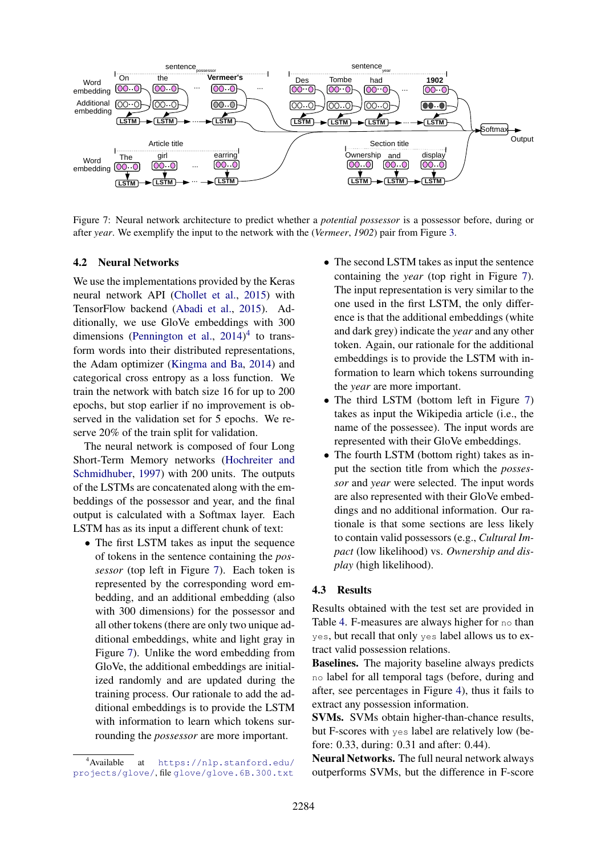

<span id="page-6-1"></span>Figure 7: Neural network architecture to predict whether a *potential possessor* is a possessor before, during or after *year*. We exemplify the input to the network with the (*Vermeer*, *1902*) pair from Figure [3.](#page-4-0)

### 4.2 Neural Networks

We use the implementations provided by the Keras neural network API [\(Chollet et al.,](#page-8-14) [2015\)](#page-8-14) with TensorFlow backend [\(Abadi et al.,](#page-8-15) [2015\)](#page-8-15). Additionally, we use GloVe embeddings with 300 dimensions [\(Pennington et al.,](#page-8-16)  $2014$  $2014$ )<sup>4</sup> to transform words into their distributed representations, the Adam optimizer [\(Kingma and Ba,](#page-8-17) [2014\)](#page-8-17) and categorical cross entropy as a loss function. We train the network with batch size 16 for up to 200 epochs, but stop earlier if no improvement is observed in the validation set for 5 epochs. We reserve 20% of the train split for validation.

The neural network is composed of four Long Short-Term Memory networks [\(Hochreiter and](#page-8-18) [Schmidhuber,](#page-8-18) [1997\)](#page-8-18) with 200 units. The outputs of the LSTMs are concatenated along with the embeddings of the possessor and year, and the final output is calculated with a Softmax layer. Each LSTM has as its input a different chunk of text:

• The first LSTM takes as input the sequence of tokens in the sentence containing the *possessor* (top left in Figure [7\)](#page-6-1). Each token is represented by the corresponding word embedding, and an additional embedding (also with 300 dimensions) for the possessor and all other tokens (there are only two unique additional embeddings, white and light gray in Figure [7\)](#page-6-1). Unlike the word embedding from GloVe, the additional embeddings are initialized randomly and are updated during the training process. Our rationale to add the additional embeddings is to provide the LSTM with information to learn which tokens surrounding the *possessor* are more important.

- The second LSTM takes as input the sentence containing the *year* (top right in Figure [7\)](#page-6-1). The input representation is very similar to the one used in the first LSTM, the only difference is that the additional embeddings (white and dark grey) indicate the *year* and any other token. Again, our rationale for the additional embeddings is to provide the LSTM with information to learn which tokens surrounding the *year* are more important.
- The third LSTM (bottom left in Figure [7\)](#page-6-1) takes as input the Wikipedia article (i.e., the name of the possessee). The input words are represented with their GloVe embeddings.
- The fourth LSTM (bottom right) takes as input the section title from which the *possessor* and *year* were selected. The input words are also represented with their GloVe embeddings and no additional information. Our rationale is that some sections are less likely to contain valid possessors (e.g., *Cultural Impact* (low likelihood) vs. *Ownership and display* (high likelihood).

### 4.3 Results

Results obtained with the test set are provided in Table [4.](#page-7-0) F-measures are always higher for no than yes, but recall that only yes label allows us to extract valid possession relations.

Baselines. The majority baseline always predicts no label for all temporal tags (before, during and after, see percentages in Figure [4\)](#page-4-1), thus it fails to extract any possession information.

SVMs. SVMs obtain higher-than-chance results, but F-scores with yes label are relatively low (before: 0.33, during: 0.31 and after: 0.44).

Neural Networks. The full neural network always outperforms SVMs, but the difference in F-score

<span id="page-6-0"></span><sup>4</sup>Available at [https://nlp.stanford.edu/](https://nlp.stanford.edu/projects/glove/) [projects/glove/](https://nlp.stanford.edu/projects/glove/), file <glove/glove.6B.300.txt>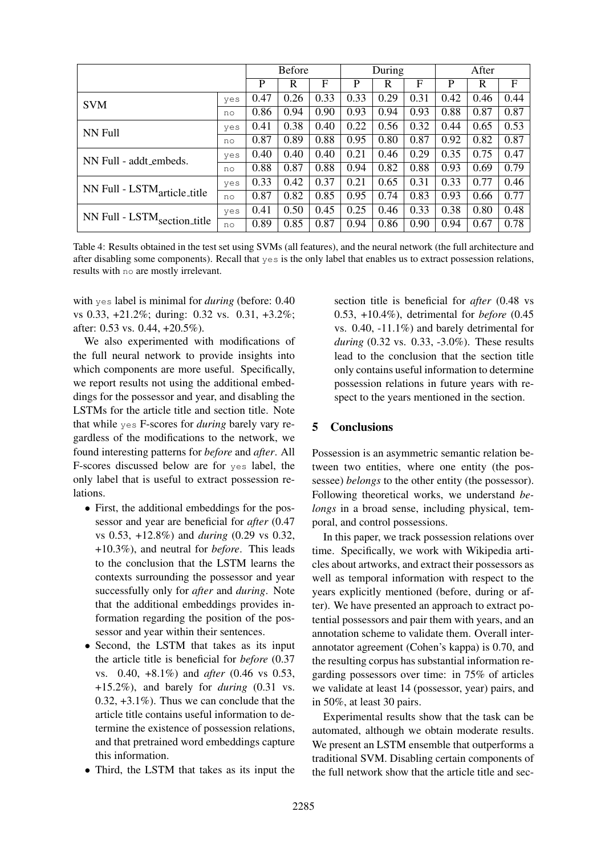|                                         |     | <b>Before</b> |      | During |      |      | After |      |      |      |
|-----------------------------------------|-----|---------------|------|--------|------|------|-------|------|------|------|
|                                         |     | P             | R    | F      | P    | R    | F     | P    | R    | F    |
| <b>SVM</b>                              | yes | 0.47          | 0.26 | 0.33   | 0.33 | 0.29 | 0.31  | 0.42 | 0.46 | 0.44 |
|                                         | no  | 0.86          | 0.94 | 0.90   | 0.93 | 0.94 | 0.93  | 0.88 | 0.87 | 0.87 |
| NN Full                                 | yes | 0.41          | 0.38 | 0.40   | 0.22 | 0.56 | 0.32  | 0.44 | 0.65 | 0.53 |
|                                         | no  | 0.87          | 0.89 | 0.88   | 0.95 | 0.80 | 0.87  | 0.92 | 0.82 | 0.87 |
| NN Full - addt embeds.                  | yes | 0.40          | 0.40 | 0.40   | 0.21 | 0.46 | 0.29  | 0.35 | 0.75 | 0.47 |
|                                         | no  | 0.88          | 0.87 | 0.88   | 0.94 | 0.82 | 0.88  | 0.93 | 0.69 | 0.79 |
| NN Full - LSTM <sub>article_title</sub> | yes | 0.33          | 0.42 | 0.37   | 0.21 | 0.65 | 0.31  | 0.33 | 0.77 | 0.46 |
|                                         | no  | 0.87          | 0.82 | 0.85   | 0.95 | 0.74 | 0.83  | 0.93 | 0.66 | 0.77 |
| NN Full - LSTM <sub>section_title</sub> | yes | 0.41          | 0.50 | 0.45   | 0.25 | 0.46 | 0.33  | 0.38 | 0.80 | 0.48 |
|                                         | no  | 0.89          | 0.85 | 0.87   | 0.94 | 0.86 | 0.90  | 0.94 | 0.67 | 0.78 |

<span id="page-7-0"></span>Table 4: Results obtained in the test set using SVMs (all features), and the neural network (the full architecture and after disabling some components). Recall that yes is the only label that enables us to extract possession relations, results with no are mostly irrelevant.

with yes label is minimal for *during* (before: 0.40 vs 0.33, +21.2%; during: 0.32 vs. 0.31, +3.2%; after: 0.53 vs. 0.44, +20.5%).

We also experimented with modifications of the full neural network to provide insights into which components are more useful. Specifically, we report results not using the additional embeddings for the possessor and year, and disabling the LSTMs for the article title and section title. Note that while yes F-scores for *during* barely vary regardless of the modifications to the network, we found interesting patterns for *before* and *after*. All F-scores discussed below are for yes label, the only label that is useful to extract possession relations.

- First, the additional embeddings for the possessor and year are beneficial for *after* (0.47 vs 0.53, +12.8%) and *during* (0.29 vs 0.32, +10.3%), and neutral for *before*. This leads to the conclusion that the LSTM learns the contexts surrounding the possessor and year successfully only for *after* and *during*. Note that the additional embeddings provides information regarding the position of the possessor and year within their sentences.
- Second, the LSTM that takes as its input the article title is beneficial for *before* (0.37 vs. 0.40, +8.1%) and *after* (0.46 vs 0.53, +15.2%), and barely for *during* (0.31 vs.  $0.32, +3.1\%$ ). Thus we can conclude that the article title contains useful information to determine the existence of possession relations, and that pretrained word embeddings capture this information.
- Third, the LSTM that takes as its input the

section title is beneficial for *after* (0.48 vs 0.53, +10.4%), detrimental for *before* (0.45 vs. 0.40, -11.1%) and barely detrimental for *during* (0.32 vs. 0.33, -3.0%). These results lead to the conclusion that the section title only contains useful information to determine possession relations in future years with respect to the years mentioned in the section.

### 5 Conclusions

Possession is an asymmetric semantic relation between two entities, where one entity (the possessee) *belongs* to the other entity (the possessor). Following theoretical works, we understand *belongs* in a broad sense, including physical, temporal, and control possessions.

In this paper, we track possession relations over time. Specifically, we work with Wikipedia articles about artworks, and extract their possessors as well as temporal information with respect to the years explicitly mentioned (before, during or after). We have presented an approach to extract potential possessors and pair them with years, and an annotation scheme to validate them. Overall interannotator agreement (Cohen's kappa) is 0.70, and the resulting corpus has substantial information regarding possessors over time: in 75% of articles we validate at least 14 (possessor, year) pairs, and in 50%, at least 30 pairs.

Experimental results show that the task can be automated, although we obtain moderate results. We present an LSTM ensemble that outperforms a traditional SVM. Disabling certain components of the full network show that the article title and sec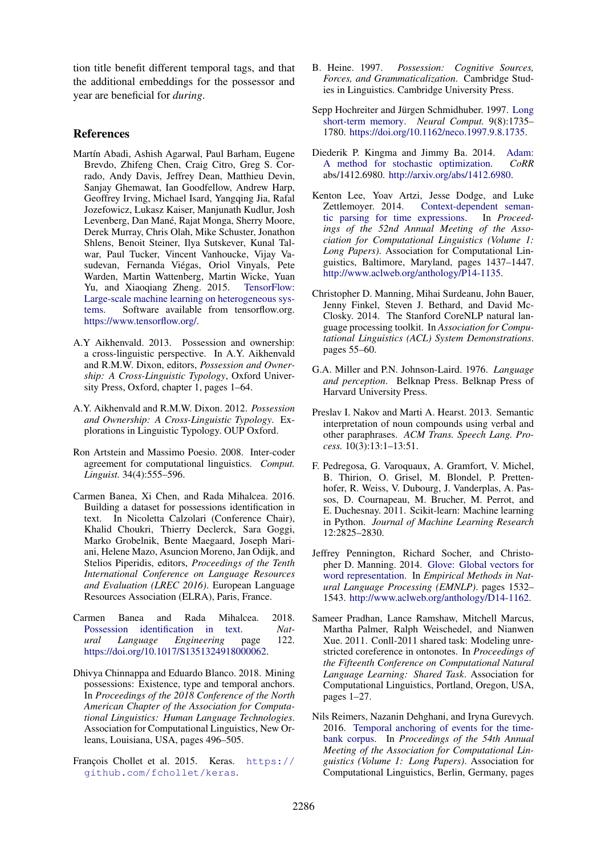tion title benefit different temporal tags, and that the additional embeddings for the possessor and year are beneficial for *during*.

## References

- <span id="page-8-15"></span>Martín Abadi, Ashish Agarwal, Paul Barham, Eugene Brevdo, Zhifeng Chen, Craig Citro, Greg S. Corrado, Andy Davis, Jeffrey Dean, Matthieu Devin, Sanjay Ghemawat, Ian Goodfellow, Andrew Harp, Geoffrey Irving, Michael Isard, Yangqing Jia, Rafal Jozefowicz, Lukasz Kaiser, Manjunath Kudlur, Josh Levenberg, Dan Mané, Rajat Monga, Sherry Moore, Derek Murray, Chris Olah, Mike Schuster, Jonathon Shlens, Benoit Steiner, Ilya Sutskever, Kunal Talwar, Paul Tucker, Vincent Vanhoucke, Vijay Vasudevan, Fernanda Viegas, Oriol Vinyals, Pete ´ Warden, Martin Wattenberg, Martin Wicke, Yuan Yu, and Xiaoqiang Zheng. 2015. [TensorFlow:](https://www.tensorflow.org/) [Large-scale machine learning on heterogeneous sys](https://www.tensorflow.org/)[tems.](https://www.tensorflow.org/) Software available from tensorflow.org. [https://www.tensorflow.org/.](https://www.tensorflow.org/)
- <span id="page-8-2"></span>A.Y Aikhenvald. 2013. Possession and ownership: a cross-linguistic perspective. In A.Y. Aikhenvald and R.M.W. Dixon, editors, *Possession and Ownership: A Cross-Linguistic Typology*, Oxford University Press, Oxford, chapter 1, pages 1–64.
- <span id="page-8-0"></span>A.Y. Aikhenvald and R.M.W. Dixon. 2012. *Possession and Ownership: A Cross-Linguistic Typology*. Explorations in Linguistic Typology. OUP Oxford.
- <span id="page-8-9"></span>Ron Artstein and Massimo Poesio. 2008. Inter-coder agreement for computational linguistics. *Comput. Linguist.* 34(4):555–596.
- <span id="page-8-6"></span>Carmen Banea, Xi Chen, and Rada Mihalcea. 2016. Building a dataset for possessions identification in text. In Nicoletta Calzolari (Conference Chair), Khalid Choukri, Thierry Declerck, Sara Goggi, Marko Grobelnik, Bente Maegaard, Joseph Mariani, Helene Mazo, Asuncion Moreno, Jan Odijk, and Stelios Piperidis, editors, *Proceedings of the Tenth International Conference on Language Resources and Evaluation (LREC 2016)*. European Language Resources Association (ELRA), Paris, France.
- <span id="page-8-7"></span>Carmen Banea and Rada Mihalcea. 2018. [Possession identification in text.](https://doi.org/10.1017/S1351324918000062) *Natural Language Engineering* page 122. [https://doi.org/10.1017/S1351324918000062.](https://doi.org/10.1017/S1351324918000062)
- <span id="page-8-5"></span>Dhivya Chinnappa and Eduardo Blanco. 2018. Mining possessions: Existence, type and temporal anchors. In *Proceedings of the 2018 Conference of the North American Chapter of the Association for Computational Linguistics: Human Language Technologies*. Association for Computational Linguistics, New Orleans, Louisiana, USA, pages 496–505.
- <span id="page-8-14"></span>François Chollet et al. 2015. Keras. [https://](https://github.com/fchollet/keras) [github.com/fchollet/keras](https://github.com/fchollet/keras).
- <span id="page-8-1"></span>B. Heine. 1997. *Possession: Cognitive Sources, Forces, and Grammaticalization*. Cambridge Studies in Linguistics. Cambridge University Press.
- <span id="page-8-18"></span>Sepp Hochreiter and Jürgen Schmidhuber. 1997. [Long](https://doi.org/10.1162/neco.1997.9.8.1735) [short-term memory.](https://doi.org/10.1162/neco.1997.9.8.1735) *Neural Comput.* 9(8):1735– 1780. [https://doi.org/10.1162/neco.1997.9.8.1735.](https://doi.org/10.1162/neco.1997.9.8.1735)
- <span id="page-8-17"></span>Diederik P. Kingma and Jimmy Ba. 2014. [Adam:](http://arxiv.org/abs/1412.6980) [A method for stochastic optimization.](http://arxiv.org/abs/1412.6980) *CoRR* abs/1412.6980. [http://arxiv.org/abs/1412.6980.](http://arxiv.org/abs/1412.6980)
- <span id="page-8-11"></span>Kenton Lee, Yoav Artzi, Jesse Dodge, and Luke Zettlemoyer. 2014. [Context-dependent seman](http://www.aclweb.org/anthology/P14-1135)[tic parsing for time expressions.](http://www.aclweb.org/anthology/P14-1135) In *Proceedings of the 52nd Annual Meeting of the Association for Computational Linguistics (Volume 1: Long Papers)*. Association for Computational Linguistics, Baltimore, Maryland, pages 1437–1447. [http://www.aclweb.org/anthology/P14-1135.](http://www.aclweb.org/anthology/P14-1135)
- <span id="page-8-8"></span>Christopher D. Manning, Mihai Surdeanu, John Bauer, Jenny Finkel, Steven J. Bethard, and David Mc-Closky. 2014. The Stanford CoreNLP natural language processing toolkit. In *Association for Computational Linguistics (ACL) System Demonstrations*. pages 55–60.
- <span id="page-8-3"></span>G.A. Miller and P.N. Johnson-Laird. 1976. *Language and perception*. Belknap Press. Belknap Press of Harvard University Press.
- <span id="page-8-4"></span>Preslav I. Nakov and Marti A. Hearst. 2013. Semantic interpretation of noun compounds using verbal and other paraphrases. *ACM Trans. Speech Lang. Process.* 10(3):13:1–13:51.
- <span id="page-8-13"></span>F. Pedregosa, G. Varoquaux, A. Gramfort, V. Michel, B. Thirion, O. Grisel, M. Blondel, P. Prettenhofer, R. Weiss, V. Dubourg, J. Vanderplas, A. Passos, D. Cournapeau, M. Brucher, M. Perrot, and E. Duchesnay. 2011. Scikit-learn: Machine learning in Python. *Journal of Machine Learning Research* 12:2825–2830.
- <span id="page-8-16"></span>Jeffrey Pennington, Richard Socher, and Christopher D. Manning. 2014. [Glove: Global vectors for](http://www.aclweb.org/anthology/D14-1162) [word representation.](http://www.aclweb.org/anthology/D14-1162) In *Empirical Methods in Natural Language Processing (EMNLP)*. pages 1532– 1543. [http://www.aclweb.org/anthology/D14-1162.](http://www.aclweb.org/anthology/D14-1162)
- <span id="page-8-10"></span>Sameer Pradhan, Lance Ramshaw, Mitchell Marcus, Martha Palmer, Ralph Weischedel, and Nianwen Xue. 2011. Conll-2011 shared task: Modeling unrestricted coreference in ontonotes. In *Proceedings of the Fifteenth Conference on Computational Natural Language Learning: Shared Task*. Association for Computational Linguistics, Portland, Oregon, USA, pages 1–27.
- <span id="page-8-12"></span>Nils Reimers, Nazanin Dehghani, and Iryna Gurevych. 2016. [Temporal anchoring of events for the time](http://www.aclweb.org/anthology/P16-1207)[bank corpus.](http://www.aclweb.org/anthology/P16-1207) In *Proceedings of the 54th Annual Meeting of the Association for Computational Linguistics (Volume 1: Long Papers)*. Association for Computational Linguistics, Berlin, Germany, pages